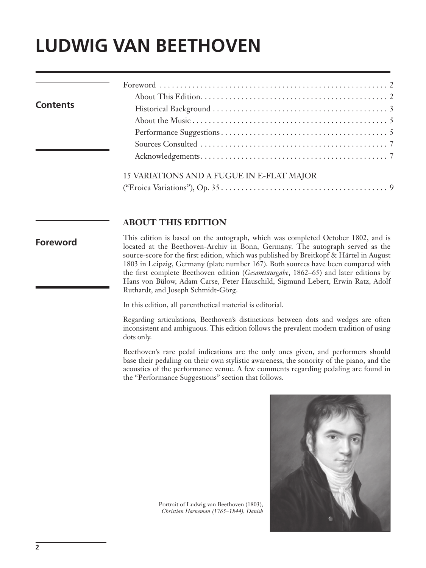## **LUDWIG VAN BEETHOVEN**

| <b>Contents</b> |                                           |
|-----------------|-------------------------------------------|
|                 |                                           |
|                 |                                           |
|                 |                                           |
|                 |                                           |
|                 |                                           |
|                 | 15 VARIATIONS AND A FUGUE IN E-FLAT MAJOR |
|                 |                                           |

## **ABOUT THIS EDITION**

## **Foreword**

This edition is based on the autograph, which was completed October 1802, and is located at the Beethoven-Archiv in Bonn, Germany. The autograph served as the source-score for the first edition, which was published by Breitkopf & Härtel in August 1803 in Leipzig, Germany (plate number 167). Both sources have been compared with the first complete Beethoven edition (*Gesamtausgabe*, 1862–65) and later editions by Hans von Bülow, Adam Carse, Peter Hauschild, Sigmund Lebert, Erwin Ratz, Adolf Ruthardt, and Joseph Schmidt-Görg.

In this edition, all parenthetical material is editorial.

Regarding articulations, Beethoven's distinctions between dots and wedges are often inconsistent and ambiguous. This edition follows the prevalent modern tradition of using dots only.

Beethoven's rare pedal indications are the only ones given, and performers should base their pedaling on their own stylistic awareness, the sonority of the piano, and the acoustics of the performance venue. A few comments regarding pedaling are found in the "Performance Suggestions" section that follows.



Portrait of Ludwig van Beethoven (1803), *Christian Horneman (1765–1844), Danish*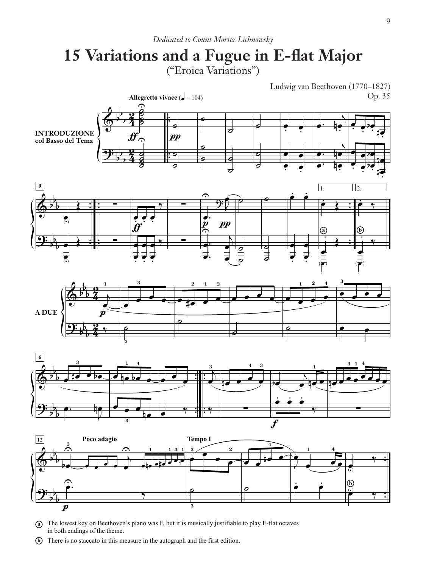## **15 Variations and a Fugue in E-flat Major** ("Eroica Variations")



- **a** The lowest key on Beethoven's piano was F, but it is musically justifiable to play E-flat octaves in both endings of the theme.
- **b**) There is no staccato in this measure in the autograph and the first edition.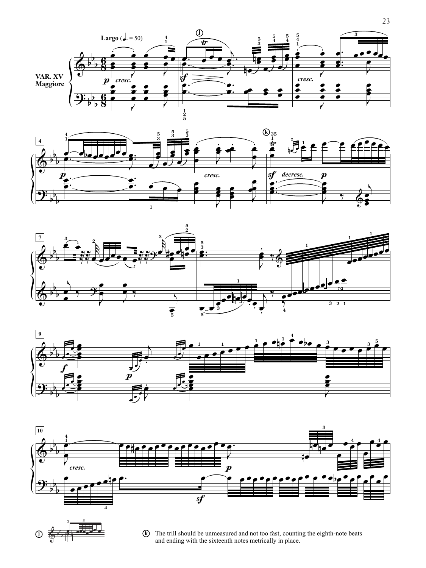









b  $\frac{1}{\frac{1}{2}}$ 

**3** *5*

<mark>⊕e</mark>œeœe

**j**  $\left(\frac{1}{k}\right)$  $\overline{a}$   $\overline{b}$   $\overline{c}$   $\overline{c}$   $\overline{d}$   $\overline{d}$   $\overline{b}$   $\overline{b}$   $\overline{c}$   $\overline{d}$   $\overline{d}$   $\overline{b}$   $\overline{b}$   $\overline{d}$   $\overline{d}$   $\overline{d}$   $\overline{d}$   $\overline{b}$   $\overline{b}$   $\overline{d}$   $\overline{d}$   $\overline{d}$   $\overline{d}$   $\overline{d}$   $\overline{$  23